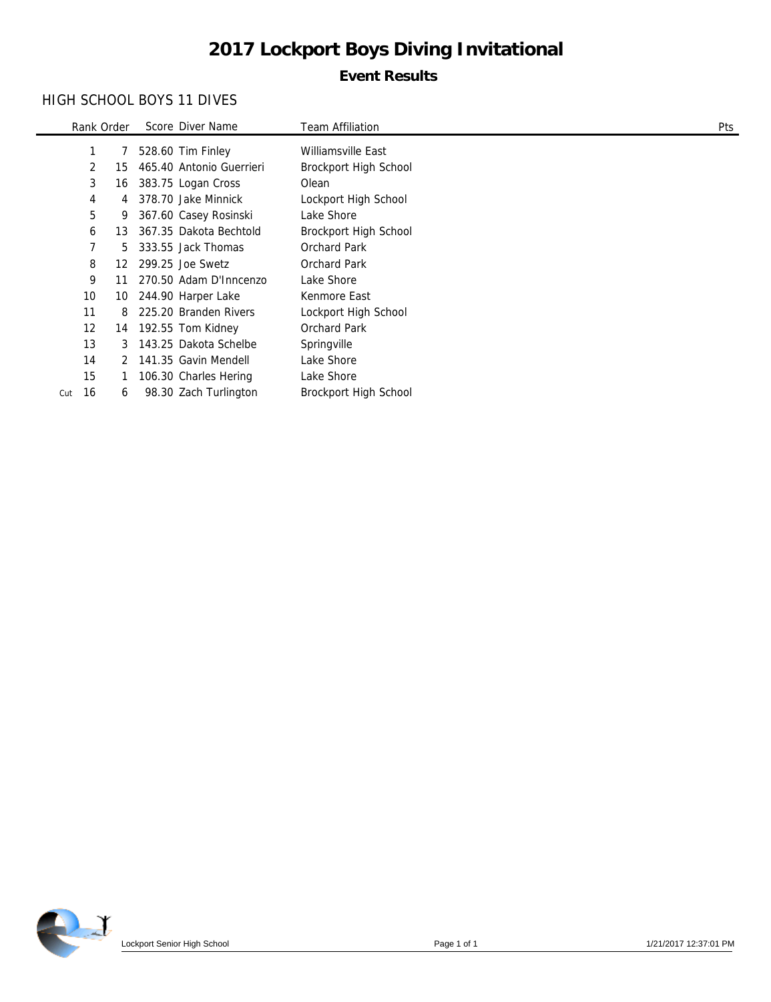# **Event Results**

# HIGH SCHOOL BOYS 11 DIVES

|     | Rank Order |    | Score Diver Name         | <b>Team Affiliation</b> | Pts |
|-----|------------|----|--------------------------|-------------------------|-----|
|     | 1          |    | 528.60 Tim Finley        | Williamsville East      |     |
|     | 2          | 15 | 465.40 Antonio Guerrieri | Brockport High School   |     |
|     | 3          | 16 | 383.75 Logan Cross       | Olean                   |     |
|     | 4          | 4  | 378.70 Jake Minnick      | Lockport High School    |     |
|     | 5          | 9  | 367.60 Casey Rosinski    | Lake Shore              |     |
|     | 6          | 13 | 367.35 Dakota Bechtold   | Brockport High School   |     |
|     | 7          | 5. | 333.55 Jack Thomas       | <b>Orchard Park</b>     |     |
|     | 8          | 12 | 299.25 Joe Swetz         | <b>Orchard Park</b>     |     |
|     | 9          | 11 | 270.50 Adam D'Inncenzo   | Lake Shore              |     |
|     | 10         | 10 | 244.90 Harper Lake       | Kenmore East            |     |
|     | 11         | 8  | 225.20 Branden Rivers    | Lockport High School    |     |
|     | 12         |    | 14 192.55 Tom Kidney     | <b>Orchard Park</b>     |     |
|     | 13         | 3  | 143.25 Dakota Schelbe    | Springville             |     |
|     | 14         |    | 2 141.35 Gavin Mendell   | Lake Shore              |     |
|     | 15         |    | 106.30 Charles Hering    | Lake Shore              |     |
| Cut | 16         | 6  | 98.30 Zach Turlington    | Brockport High School   |     |

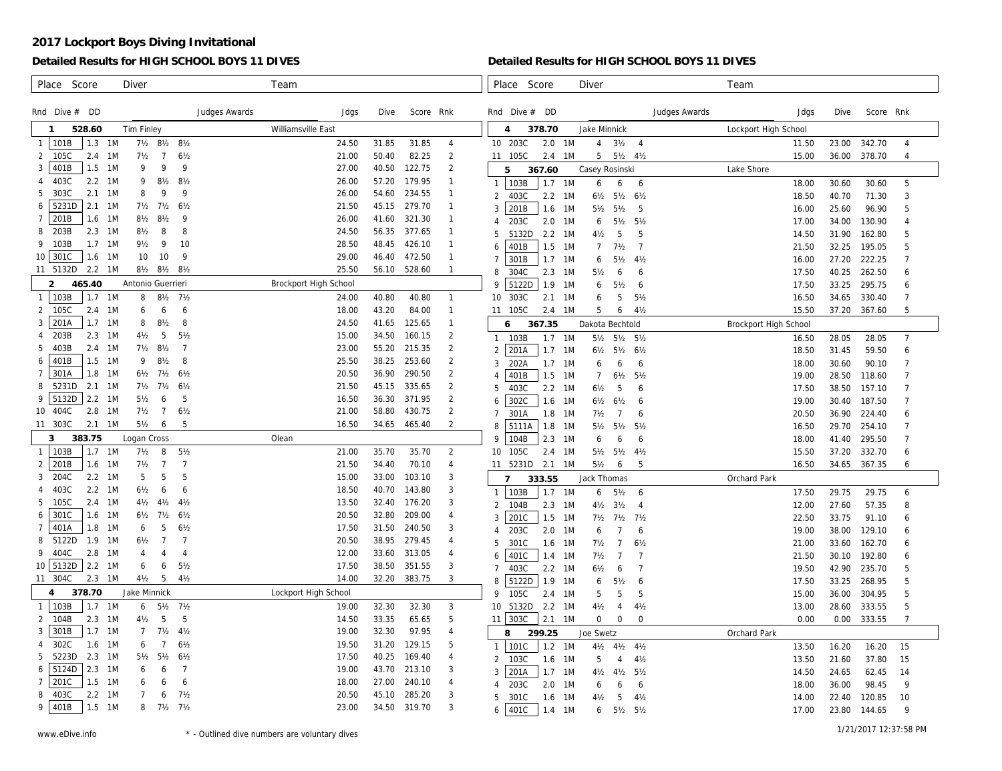### **Detailed Results for HIGH SCHOOL BOYS 11 DIVES**

#### **Detailed Results for HIGH SCHOOL BOYS 11 DIVES**

| Score<br>Place<br>Diver                                                                                                   | Team                  |                                                                        | Place<br>Score<br>Diver                                                                                       | Team                  |                                    |                     |
|---------------------------------------------------------------------------------------------------------------------------|-----------------------|------------------------------------------------------------------------|---------------------------------------------------------------------------------------------------------------|-----------------------|------------------------------------|---------------------|
| Rnd Dive $#$ DD<br>Judges Awards                                                                                          | Jdgs                  | Score Rnk<br>Dive                                                      | Rnd Dive $#$ DD<br>Judges Awards                                                                              | Jdgs                  | Dive                               | Score Rnk           |
| 528.60<br><b>Tim Finley</b><br>$\mathbf{1}$                                                                               | Williamsville East    |                                                                        | $\overline{4}$<br>378.70<br>Jake Minnick                                                                      | Lockport High School  |                                    |                     |
| 101B<br>$1.3 \quad 1M$<br>71/2 81/2 81/2<br>$\mathbf{1}$                                                                  | 24.50                 | 31.85<br>31.85<br>$\overline{4}$                                       | 10 203C<br>2.0<br>1M<br>$\overline{4}$<br>$3\frac{1}{2}$<br>$\overline{4}$                                    | 11.50                 | 23.00<br>342.70                    | $\overline{4}$      |
| 105C<br>$7\frac{1}{2}$<br>$\overline{7}$<br>$6\frac{1}{2}$<br>2<br>2.4<br>- 1 M                                           | 21.00                 | $\overline{2}$<br>50.40<br>82.25                                       | 5<br>11 105C<br>$2.4$ 1M<br>51/2 41/2                                                                         | 15.00                 | 36.00<br>378.70                    | $\overline{4}$      |
| 401B<br>$1.5$ 1M<br>$\mathsf{Q}$<br>9<br>9<br>3                                                                           | 27.00                 | 40.50<br>122.75<br>2                                                   | 367.60<br>Casey Rosinski<br>5                                                                                 | Lake Shore            |                                    |                     |
| 403C<br>$2.2 \quad 1M$<br>$8\frac{1}{2}$<br>$8\frac{1}{2}$<br>9<br>$\overline{A}$                                         | 26.00                 | 57.20<br>179.95<br>$\mathbf{1}$                                        | 103B<br>1.7<br>1M<br>6<br>6<br>6<br>$\mathbf{1}$                                                              | 18.00                 | 30.60<br>30.60                     | 5                   |
| $2.1$ 1M<br>303C<br>8<br>9<br>9<br>5                                                                                      | 26.00                 | 54.60<br>234.55<br>$\mathbf{1}$                                        | 403C<br>2.2<br>$6\frac{1}{2}$<br>$5\frac{1}{2}$<br>$6\frac{1}{2}$<br>$\mathcal{P}$<br>- 1 M                   | 18.50                 | 40.70<br>71.30                     | 3                   |
| 5231D<br>$2.1$ 1M<br>$7\frac{1}{2}$<br>$7\frac{1}{2}$<br>6½<br>6                                                          | 21.50                 | 279.70<br>45.15<br>$\mathbf{1}$                                        | 201B<br>1.6<br>1M<br>$5\frac{1}{2}$<br>5<br>3<br>$5\frac{1}{2}$                                               | 16.00                 | 25.60<br>96.90                     | 5                   |
| 201B<br>1.6<br>1M<br>$8\frac{1}{2}$<br>9<br>$7^{\circ}$<br>$8\frac{1}{2}$                                                 | 26.00                 | 321.30<br>41.60<br>$\mathbf{1}$                                        | 203C<br>2.0<br>- 1 M<br>6<br>$5\frac{1}{2}$<br>5½                                                             | 17.00                 | 34.00<br>130.90                    | $\overline{4}$      |
| $2.3$ 1M<br>203B<br>$8\frac{1}{2}$<br>8<br>8<br>8                                                                         | 24.50                 | 56.35<br>377.65<br>$\mathbf{1}$                                        | 5<br>5132D<br>2.2<br>$4\frac{1}{2}$<br>5<br>5<br>1M                                                           | 14.50                 | 31.90<br>162.80                    | 5                   |
| 103B<br>$1.7 \, 1M$<br>9 <sub>2</sub><br>9<br>10<br>9                                                                     | 28.50                 | 48.45<br>426.10<br>$\mathbf{1}$                                        | 401B<br>1.5<br>$\overline{7}$<br>1M<br>$\overline{7}$<br>$7\frac{1}{2}$<br>6                                  | 21.50                 | 32.25<br>195.05                    | 5                   |
| 10 301C<br>10<br>1.6 1M<br>10<br>9                                                                                        | 29.00                 | 46.40<br>472.50<br>$\mathbf{1}$                                        | 301B<br>1.7<br>1M<br>$5\frac{1}{2}$<br>$4\frac{1}{2}$<br>6                                                    | 16.00                 | 27.20<br>222.25                    | $\overline{7}$      |
| 11 5132D 2.2 1M<br>81/2 81/2 81/2                                                                                         | 25.50                 | 56.10<br>528.60<br>$\mathbf{1}$                                        | 304C<br>2.3<br>8<br>1M<br>$5\frac{1}{2}$<br>6<br>6                                                            | 17.50                 | 40.25<br>262.50                    | 6                   |
| 465.40<br>Antonio Guerrieri<br>$\overline{2}$                                                                             | Brockport High School |                                                                        | 5122D<br>1.9<br>9<br>1M<br>$5\frac{1}{2}$<br>6<br>6                                                           | 17.50                 | 33.25<br>295.75                    | 6                   |
| 103B<br>1.7<br>1M<br>8<br>$8\frac{1}{2}$<br>$7\frac{1}{2}$<br>$\mathbf{1}$                                                | 24.00                 | 40.80<br>40.80<br>$\mathbf{1}$                                         | 303C<br>2.1<br>10<br>1M<br>6<br>5<br>5 <sub>2</sub>                                                           | 16.50                 | 34.65<br>330.40                    | $\overline{7}$      |
| 105C<br>1M<br>6<br>2.4<br>6<br>2<br>6                                                                                     | 18.00                 | 43.20<br>84.00<br>$\mathbf{1}$                                         | 5<br>105C<br>$2.4$ 1M<br>6<br>$4\frac{1}{2}$<br>11                                                            | 15.50                 | 37.20<br>367.60                    | 5                   |
| 201A<br>$1.7 \quad 1M$<br>8<br>3<br>8<br>$8\frac{1}{2}$                                                                   | 24.50                 | 41.65<br>125.65<br>$\mathbf{1}$                                        | 367.35<br>Dakota Bechtold<br>6                                                                                | Brockport High School |                                    |                     |
| 203B<br>$2.3$ 1M<br>5<br>5 <sub>2</sub><br>$4\frac{1}{2}$<br>4                                                            | 15.00                 | $\overline{2}$<br>34.50<br>160.15                                      | 103B<br>1.7<br>1M<br>51/2 51/2 51/2<br>$\mathbf{1}$                                                           | 16.50                 | 28.05<br>28.05                     | $\overline{7}$      |
| $2.4$ 1M<br>$7\frac{1}{2}$<br>$8\frac{1}{2}$<br>$\overline{7}$<br>403B                                                    | 23.00                 | $\overline{c}$<br>55.20<br>215.35                                      | 201A<br>1.7<br>1M<br>$6\frac{1}{2}$<br>$5\frac{1}{2}$<br>6½                                                   | 18.50                 | 31.45<br>59.50                     | 6                   |
| 401B<br>$1.5$ 1M<br>9<br>8<br>$8\frac{1}{2}$<br>6<br>301A<br>1.8 1M<br>$6\frac{1}{2}$<br>$7\frac{1}{2}$<br>$6\frac{1}{2}$ | 25.50<br>20.50        | 253.60<br>$\overline{c}$<br>38.25<br>36.90<br>290.50<br>$\overline{2}$ | 3<br>202A<br>1.7<br>6<br>6<br>- 1 M<br>6                                                                      | 18.00                 | 30.60<br>90.10                     | $\overline{7}$      |
| $\overline{7}$<br>5231D<br>$2.1 \quad 1M$<br>$7\frac{1}{2}$<br>$7\frac{1}{2}$<br>$6\frac{1}{2}$                           | 21.50                 | 335.65<br>45.15<br>$\overline{2}$                                      | 1.5<br>401B<br>1M<br>$\overline{7}$<br>$6\frac{1}{2}$<br>$5\frac{1}{2}$                                       | 19.00                 | 28.50<br>118.60                    | $\overline{7}$      |
| 8<br>5132D<br>$2.2 \quad 1M$<br>$5\frac{1}{2}$<br>5<br>9<br>6                                                             | 16.50                 | 36.30<br>371.95<br>2                                                   | 403C<br>2.2<br>5<br>5<br>1M<br>$6\frac{1}{2}$<br>6                                                            | 17.50                 | 38.50<br>157.10                    | $\overline{7}$      |
| 2.8 1M<br>$7\frac{1}{2}$<br>10 404C<br>7<br>6 <sub>2</sub>                                                                | 21.00                 | 58.80<br>430.75<br>2                                                   | 302C<br>1.6<br>1M<br>$6\frac{1}{2}$<br>6 <sub>2</sub><br>6<br>6                                               | 19.00                 | 30.40<br>187.50                    | $\overline{7}$      |
| 11 303C<br>$2.1 \quad 1M$<br>$5\frac{1}{2}$<br>6<br>5                                                                     | 16.50                 | 34.65<br>465.40<br>2                                                   | 301A<br>1.8<br>$\overline{7}$<br>$7\frac{1}{2}$<br>$\overline{7}$<br>6<br>1M<br>5111A                         | 20.50                 | 36.90<br>224.40                    | 6<br>$\overline{7}$ |
| 383.75<br>3<br>Logan Cross                                                                                                | Olean                 |                                                                        | 1.8<br>8<br>1M<br>$5\frac{1}{2}$<br>$5\frac{1}{2}$<br>$5\frac{1}{2}$<br>104B<br>2.3<br>Q<br>1M<br>6<br>6<br>6 | 16.50<br>18.00        | 29.70<br>254.10<br>41.40<br>295.50 | $\overline{7}$      |
| 1M<br>$5\frac{1}{2}$<br>103B<br>1.7<br>$7\frac{1}{2}$<br>8<br>$\mathbf{1}$                                                | 21.00                 | 35.70<br>35.70<br>2                                                    | 10<br>105C<br>2.4<br>$5\frac{1}{2}$<br>- 1 M<br>$5\frac{1}{2}$<br>4½                                          | 15.50                 | 37.20<br>332.70                    | 6                   |
| 201B<br>$\overline{7}$<br>$7\frac{1}{2}$<br>$\overline{7}$<br>2<br>1.6<br>1M                                              | 21.50                 | 34.40<br>70.10<br>$\overline{4}$                                       | 2.1<br>11 5231D<br>1M<br>$5\frac{1}{2}$<br>5<br>6                                                             | 16.50                 | 34.65<br>367.35                    | 6                   |
| 5<br>5<br>$2.2 \quad 1M$<br>5<br>204C<br>3                                                                                | 15.00                 | 33.00<br>103.10<br>3                                                   | Jack Thomas<br>$\overline{7}$<br>333.55                                                                       | Orchard Park          |                                    |                     |
| $2.2 \quad 1M$<br>$6\frac{1}{2}$<br>6<br>403C<br>6                                                                        | 18.50                 | 40.70<br>143.80<br>3                                                   | 103B<br>1.7<br>1M<br>$\sqrt{6}$<br>$5\frac{1}{2}$<br>6                                                        | 17.50                 | 29.75<br>29.75                     | 6                   |
| 105C<br>$2.4$ 1M<br>$4\frac{1}{2}$<br>$4\frac{1}{2}$<br>5<br>$4\frac{1}{2}$                                               | 13.50                 | 32.40<br>176.20<br>3                                                   | $\mathfrak{D}$<br>2.3<br>$4\frac{1}{2}$<br>104B<br>1M<br>3 <sub>2</sub><br>$\overline{4}$                     | 12.00                 | 27.60<br>57.35                     | 8                   |
| 301C<br>1.6<br>1M<br>$6\frac{1}{2}$<br>$6\frac{1}{2}$<br>$7\frac{1}{2}$<br>6                                              | 20.50                 | 32.80<br>209.00<br>4                                                   | 201C<br>1.5<br>1M<br>$7\frac{1}{2}$<br>$7\frac{1}{2}$<br>$7\frac{1}{2}$                                       | 22.50                 | 33.75<br>91.10                     | 6                   |
| 401A<br>1.8<br>$-1M$<br>5<br>6 <sub>2</sub><br>$\overline{7}$<br>6                                                        | 17.50                 | 31.50<br>240.50<br>3                                                   | 203C<br>2.0<br>6<br>6<br>- 1 M                                                                                | 19.00                 | 38.00<br>129.10                    | 6                   |
| 1.9<br>$\overline{7}$<br>5122D<br>1M<br>$6\frac{1}{2}$<br>$\overline{7}$<br>8                                             | 20.50                 | 38.95<br>279.45<br>4                                                   | 301C<br>1.6<br>$7\frac{1}{2}$<br>7<br>6 <sub>2</sub><br>5<br>- 1 M                                            | 21.00                 | 33.60<br>162.70                    | 6                   |
| 2.8 1M<br>$\overline{4}$<br>9<br>404C<br>$\overline{4}$<br>$\overline{4}$                                                 | 12.00                 | 33.60<br>313.05<br>4                                                   | 401C<br>$7\frac{1}{2}$<br>$\overline{7}$<br>1.4<br>1M<br>7<br>6                                               | 21.50                 | 30.10<br>192.80                    | 6                   |
| $10$ 5132D<br>$2.2$ 1M<br>5 <sub>2</sub><br>6<br>6                                                                        | 17.50                 | 38.50<br>351.55<br>3                                                   | 403C<br>$\overline{7}$<br>$\overline{7}$<br>$2.2$ 1M<br>$6\frac{1}{2}$<br>6                                   | 19.50                 | 42.90<br>235.70                    | 5                   |
| 5<br>11 304C<br>2.3 1M<br>$4\frac{1}{2}$<br>$4\frac{1}{2}$                                                                | 14.00                 | 32.20<br>383.75<br>3                                                   | 5122D<br>1.9<br>8<br>1M<br>6<br>6<br>$5\frac{1}{2}$                                                           | 17.50                 | 33.25<br>268.95                    | 5                   |
| 378.70<br>Jake Minnick<br>4                                                                                               | Lockport High School  |                                                                        | 105C<br>5<br>$\mathsf{Q}$<br>5<br>2.4<br>1M<br>5                                                              | 15.00                 | 304.95<br>36.00                    | 5                   |
| 103B<br>1.7<br>1M<br>$7\frac{1}{2}$<br>$5\frac{1}{2}$<br>$\mathbf{1}$<br>6                                                | 19.00                 | 32.30<br>32.30<br>$\mathbf{3}$                                         | 5132D<br>2.2<br>$4\frac{1}{2}$<br>$4\frac{1}{2}$<br>10<br>1M<br>$\overline{4}$                                | 13.00                 | 28.60<br>333.55                    | 5                   |
| 5<br>5<br>2.3<br>1M<br>$4\frac{1}{2}$<br>104B<br>2                                                                        | 14.50                 | 33.35<br>5<br>65.65                                                    | 303C<br>2.1<br>$\mathbf 0$<br>1M<br>0<br>$\mathbf{0}$<br>11                                                   | 0.00                  | 0.00<br>333.55                     | $\overline{7}$      |
| 301B<br>$1.7 \quad 1M$<br>$\overline{7}$<br>$7\frac{1}{2}$<br>$4\frac{1}{2}$<br>3                                         | 19.00                 | 32.30<br>97.95<br>$\overline{4}$                                       | 299.25<br>Joe Swetz<br>8                                                                                      | Orchard Park          |                                    |                     |
| 302C<br>1.6 1M<br>7<br>6 <sub>2</sub><br>6<br>4                                                                           | 19.50                 | 31.20<br>129.15<br>5                                                   | 101C<br>1.2<br>1 <sub>M</sub><br>$4\frac{1}{2}$ $4\frac{1}{2}$<br>$4\frac{1}{2}$                              | 13.50                 | 16.20<br>16.20                     | 15                  |
| $2.3 \quad 1M$<br>5<br>5223D<br>$5\frac{1}{2}$<br>$5\frac{1}{2}$<br>$6\frac{1}{2}$                                        | 17.50                 | 40.25<br>169.40<br>4                                                   | $\mathfrak{D}$<br>103C<br>1.6<br>5<br>1M<br>$4\frac{1}{2}$<br>4                                               | 13.50                 | 21.60<br>37.80                     | 15                  |
| 5124D<br>$2.3$ 1M<br>$\overline{7}$<br>6<br>6<br>6                                                                        | 19.00                 | 43.70<br>213.10<br>3                                                   | 201A<br>1.7<br>$5\frac{1}{2}$<br>3<br>1M<br>$4\frac{1}{2}$<br>$4\frac{1}{2}$                                  | 14.50                 | 24.65<br>62.45                     | 14                  |
| 201C<br>$1.5$ 1M<br>6<br>6<br>$7^{\circ}$<br>6                                                                            | 18.00                 | 240.10<br>27.00<br>$\overline{4}$                                      | 203C<br>2.0<br>1M<br>6<br>6<br>6<br>4                                                                         | 18.00                 | 36.00<br>98.45                     | 9                   |
| 403C<br>$2.2 \quad 1M$<br>6<br>$7\frac{1}{2}$<br>8                                                                        | 20.50                 | 45.10<br>285.20<br>3                                                   | 301C<br>1.6<br>5<br>$4\frac{1}{2}$<br>5<br>1M<br>$4\frac{1}{2}$                                               | 14.00                 | 22.40<br>120.85                    | 10                  |
| 401B<br>9<br>$1.5$ 1M<br>$7\frac{1}{2}$ $7\frac{1}{2}$<br>8                                                               | 23.00                 | 34.50<br>3<br>319.70                                                   | 401C<br>1.4<br>1M<br>51/2 51/2<br>6<br>6                                                                      | 17.00                 | 23.80<br>144.65                    | 9                   |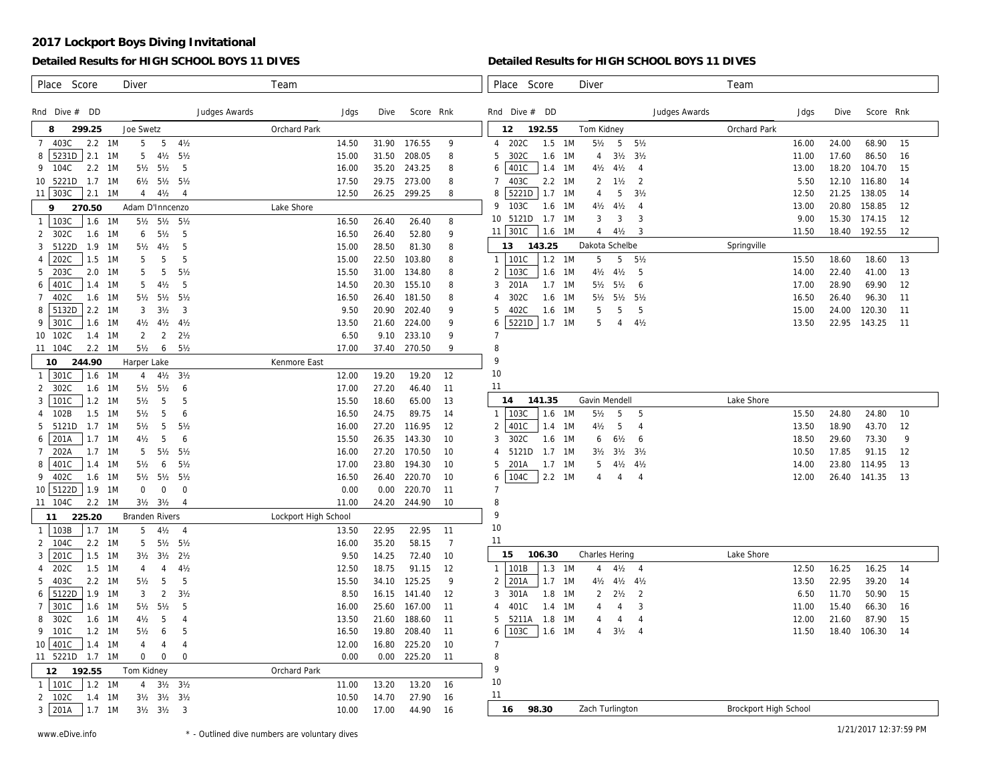### **Detailed Results for HIGH SCHOOL BOYS 11 DIVES**

#### **Detailed Results for HIGH SCHOOL BOYS 11 DIVES**

| Score<br><b>Diver</b><br>Place                                                                                         | Team                 |                |                  |                | Place<br>Score                             | <b>Diver</b>                                                              |               | Team                  |                |                |                |         |
|------------------------------------------------------------------------------------------------------------------------|----------------------|----------------|------------------|----------------|--------------------------------------------|---------------------------------------------------------------------------|---------------|-----------------------|----------------|----------------|----------------|---------|
|                                                                                                                        |                      |                |                  |                |                                            |                                                                           |               |                       |                |                |                |         |
| Rnd Dive $#$ DD<br>Judges Awards                                                                                       | Jdgs                 | Dive           | Score Rnk        |                | Rnd Dive $#$ DD                            |                                                                           | Judges Awards |                       | Jdgs           | Dive           | Score Rnk      |         |
| Joe Swetz<br>299.25<br>8                                                                                               | Orchard Park         |                |                  |                | 192.55<br>12                               | Tom Kidney                                                                |               | Orchard Park          |                |                |                |         |
| 5<br>5<br>$4\frac{1}{2}$<br>403C<br>2.2 1M<br>$\overline{7}$                                                           | 14.50                | 31.90          | 176.55           | 9              | 202C<br>1.5<br>$\overline{4}$              | $5\frac{1}{2}$<br>5<br>$5\frac{1}{2}$<br>1M                               |               |                       | 16.00          | 24.00          | 68.90          | 15      |
| $5231D$ 2.1 1M<br>$5\frac{1}{2}$<br>8<br>5<br>$4\frac{1}{2}$                                                           | 15.00                | 31.50          | 208.05           | 8              | 302C<br>1.6<br>5                           | $3\frac{1}{2}$<br>3 <sub>2</sub><br>1M<br>4                               |               |                       | 11.00          | 17.60          | 86.50          | 16      |
| 2.2 1M<br>5<br>9<br>104C<br>51/2 51/2                                                                                  | 16.00                | 35.20          | 243.25           | 8              | 401C<br>$1.4$ 1M<br>6                      | $4\frac{1}{2}$<br>$4\frac{1}{2}$<br>$\overline{4}$                        |               |                       | 13.00          | 18.20          | 104.70         | 15      |
| 10 5221D<br>$1.7$ 1M<br>61/2 51/2 51/2                                                                                 | 17.50                | 29.75          | 273.00           | 8              | 403C<br>$2.2 \quad 1M$<br>$\overline{7}$   | 2<br>2<br>$1\frac{1}{2}$                                                  |               |                       | 5.50           | 12.10          | 116.80         | 14      |
| 11 303C<br>$2.1$ 1M<br>4<br>$4\frac{1}{2}$<br>$\overline{4}$                                                           | 12.50                | 26.25          | 299.25           | 8              | 5221D<br>8<br>$1.7 \quad 1M$               | 3 <sub>2</sub><br>5<br>$\overline{4}$                                     |               |                       | 12.50          | 21.25          | 138.05         | 14      |
| Adam D'Inncenzo<br>9<br>270.50                                                                                         | Lake Shore           |                |                  |                | $\mathsf{Q}$<br>103C<br>1.6 1M             | $4\frac{1}{2}$<br>$4\frac{1}{2}$<br>$\overline{4}$                        |               |                       | 13.00          | 20.80          | 158.85         | 12      |
| $1$   103 $C$<br>1M<br>$5\frac{1}{2}$<br>$5\frac{1}{2}$ 5 $\frac{1}{2}$<br>1.6                                         | 16.50                | 26.40          | 26.40            | 8              | 5121D<br>10 <sup>°</sup><br>$1.7 \quad 1M$ | 3<br>3<br>3                                                               |               |                       | 9.00           | 15.30          | 174.15         | 12      |
| 302C<br>$1.6$ 1M<br>$5\frac{1}{2}$<br>5<br>2<br>6                                                                      | 16.50                | 26.40          | 52.80            | 9              | 11   301C<br>1.6 1M                        | $\overline{4}$<br>$4\frac{1}{2}$<br>3                                     |               |                       | 11.50          | 18.40          | 192.55         | 12      |
| 5122D<br>$1.9$ 1M<br>5<br>5 <sub>2</sub><br>$4\frac{1}{2}$<br>3                                                        | 15.00                | 28.50          | 81.30            | 8              | 143.25<br>13                               | Dakota Schelbe                                                            |               | Springville           |                |                |                |         |
| 202C<br>$1.5$ 1M<br>5<br>5<br>5<br>4                                                                                   | 15.00                | 22.50          | 103.80           | 8              | $1 \mid 101C$<br>1.2                       | 1M<br>5<br>5<br>$5\frac{1}{2}$                                            |               |                       | 15.50          | 18.60          | 18.60          | 13      |
| $2.0$ 1M<br>5<br>5<br>$5\frac{1}{2}$<br>5<br>203C                                                                      | 15.50                | 31.00          | 134.80           | 8              | 103C<br>$\overline{2}$<br>1.6              | $4\frac{1}{2}$<br>5<br>1M<br>$4\frac{1}{2}$                               |               |                       | 14.00          | 22.40          | 41.00          | 13      |
| 401C<br>$1.4$ 1M<br>5<br>$4\frac{1}{2}$<br>5<br>6                                                                      | 14.50                | 20.30          | 155.10           | 8              | 201A<br>$1.7 \quad 1M$<br>3                | $5\frac{1}{2}$<br>$5\frac{1}{2}$<br>6                                     |               |                       | 17.00          | 28.90          | 69.90          | 12      |
| 402C<br>1.6 1M<br>$5\frac{1}{2}$<br>$5\frac{1}{2}$ 5 $\frac{1}{2}$<br>$\overline{7}$                                   | 16.50                | 26.40          | 181.50           | 8              | 302C<br>1.6<br>$\overline{4}$              | 1M<br>$5\frac{1}{2}$<br>$5\frac{1}{2}$<br>$5\frac{1}{2}$                  |               |                       | 16.50          | 26.40          | 96.30          | 11      |
| 5132D<br>2.2 1M<br>3<br>8<br>3<br>$3\frac{1}{2}$                                                                       | 9.50                 | 20.90          | 202.40           | 9              | 402C<br>1.6 1M<br>5                        | 5<br>5<br>5                                                               |               |                       | 15.00          | 24.00          | 120.30         | 11      |
| 301C<br>1.6 1M<br>9<br>$4\frac{1}{2}$<br>$4\frac{1}{2}$<br>$4\frac{1}{2}$                                              | 13.50                | 21.60          | 224.00           | 9              | 5221D<br>6<br>$1.7$ 1M                     | $4\frac{1}{2}$<br>5<br>$\overline{4}$                                     |               |                       | 13.50          | 22.95          | 143.25         | -11     |
| $\overline{2}$<br>2 <sub>2</sub><br>1.4<br>1M<br>$\overline{2}$<br>10 102C                                             | 6.50                 | 9.10           | 233.10           | 9              | $\overline{7}$                             |                                                                           |               |                       |                |                |                |         |
| 2.2<br>$5\frac{1}{2}$<br>6<br>$5\frac{1}{2}$<br>11 104C<br>1M                                                          | 17.00                | 37.40          | 270.50           | 9              | 8                                          |                                                                           |               |                       |                |                |                |         |
| 10<br>244.90<br>Harper Lake                                                                                            | Kenmore East         |                |                  |                | 9                                          |                                                                           |               |                       |                |                |                |         |
| 1 301C<br>1M<br>$4\frac{1}{2}$<br>3 <sub>2</sub><br>1.6<br>$\overline{4}$                                              | 12.00                | 19.20          | 19.20            | 12             | 10                                         |                                                                           |               |                       |                |                |                |         |
| 302C<br>1.6<br>1M<br>$5\frac{1}{2}$<br>2<br>$5\frac{1}{2}$<br>6                                                        | 17.00                | 27.20          | 46.40            | 11             | 11                                         |                                                                           |               |                       |                |                |                |         |
| 101C<br>1.2<br>$5\frac{1}{2}$<br>5<br>3<br>1M<br>5                                                                     | 15.50                | 18.60          | 65.00            | 13             | 141.35<br>14                               | Gavin Mendell                                                             |               | Lake Shore            |                |                |                |         |
| 102B<br>$1.5$ 1M<br>5<br>$5\frac{1}{2}$<br>6<br>4                                                                      | 16.50                | 24.75          | 89.75            | 14             | 103C<br>1 <sup>1</sup><br>1.6              | $5\frac{1}{2}$<br>1M<br>5<br>-5                                           |               |                       | 15.50          | 24.80          | 24.80          | 10      |
| 5<br>5121D<br>$1.7 \quad 1M$<br>$5\frac{1}{2}$<br>$5\frac{1}{2}$<br>5<br>201A<br>$1.7 \quad 1M$<br>$4\frac{1}{2}$<br>5 | 16.00                | 27.20          | 116.95           | 12             | 401C<br>2<br>1.4<br>302C                   | $4\frac{1}{2}$<br>5<br>1M<br>$\overline{4}$                               |               |                       | 13.50<br>18.50 | 18.90          | 43.70<br>73.30 | 12<br>9 |
| 6<br>6<br>202A<br>$1.7 \, 1M$<br>5<br>$5\frac{1}{2}$<br>$5\frac{1}{2}$                                                 | 15.50<br>16.00       | 26.35<br>27.20 | 143.30<br>170.50 | 10             | 3<br>1.6<br>5121D<br>1.7<br>4              | - 1 M<br>6½<br>6<br>6<br>3 <sub>2</sub><br>1M                             |               |                       | 10.50          | 29.60<br>17.85 | 91.15          | 12      |
| 401C<br>$1.4$ 1M<br>$5\frac{1}{2}$<br>8<br>$5\frac{1}{2}$<br>6                                                         | 17.00                | 23.80          | 194.30           | 10<br>10       | 201A<br>5<br>$1.7$ 1M                      | $3\frac{1}{2}$<br>$3\frac{1}{2}$<br>5<br>$4\frac{1}{2}$<br>$4\frac{1}{2}$ |               |                       | 14.00          | 23.80          | 114.95         | 13      |
| 402C<br>1.6 1M<br>$5\frac{1}{2}$<br>9<br>$5\frac{1}{2}$<br>$5\frac{1}{2}$                                              | 16.50                | 26.40          | 220.70           | 10             | 104C<br>$2.2 \quad 1M$<br>6                | $\overline{4}$<br>4<br>4                                                  |               |                       | 12.00          | 26.40          | 141.35         | 13      |
| $10$ 5122D<br>1.9 1M<br>$\mathbf 0$<br>$\mathsf{O}$<br>$\mathbf 0$                                                     | 0.00                 | 0.00           | 220.70           | 11             | $\overline{7}$                             |                                                                           |               |                       |                |                |                |         |
| $2.2 \quad 1M$<br>$3\frac{1}{2}$ $3\frac{1}{2}$<br>11 104C<br>$\overline{4}$                                           | 11.00                | 24.20          | 244.90           | 10             | 8                                          |                                                                           |               |                       |                |                |                |         |
| 225.20<br><b>Branden Rivers</b><br>11                                                                                  | Lockport High School |                |                  |                | 9                                          |                                                                           |               |                       |                |                |                |         |
| 103B<br>$1.7$ 1M<br>5<br>$4\frac{1}{2}$<br>$\overline{4}$<br>1                                                         | 13.50                | 22.95          | 22.95            | 11             | 10                                         |                                                                           |               |                       |                |                |                |         |
| 51/2 51/2<br>104C<br>$2.2 \quad 1M$<br>5<br>2                                                                          | 16.00                | 35.20          | 58.15            | $\overline{7}$ | 11                                         |                                                                           |               |                       |                |                |                |         |
| 201C<br>1.5<br>1M<br>3 <sub>2</sub><br>3<br>$3\frac{1}{2}$<br>$2\frac{1}{2}$                                           | 9.50                 | 14.25          | 72.40            | 10             | 106.30<br>15                               | Charles Hering                                                            |               | Lake Shore            |                |                |                |         |
| 202C<br>$1.5$ 1M<br>$4\frac{1}{2}$<br>$\overline{4}$<br>$\overline{4}$<br>4                                            | 12.50                | 18.75          | 91.15            | 12             | 1.3<br>101B<br>$\mathbf{1}$                | 1M<br>4 <sub>2</sub><br>$\overline{4}$<br>$\overline{4}$                  |               |                       | 12.50          | 16.25          | 16.25          | 14      |
| 5<br>5<br>$2.2 \quad 1M$<br>5 <sub>2</sub><br>5<br>403C                                                                | 15.50                | 34.10          | 125.25           | 9              | 201A<br>1.7<br>$\mathfrak{D}$              | 1M<br>$4\frac{1}{2}$<br>$4\frac{1}{2}$<br>$4\frac{1}{2}$                  |               |                       | 13.50          | 22.95          | 39.20          | 14      |
| 5122D<br>$\overline{2}$<br>$1.9$ 1M<br>3<br>$3\frac{1}{2}$<br>6                                                        | 8.50                 | 16.15          | 141.40           | 12             | 301A<br>1.8<br>3                           | 2<br>2<br>1M<br>$2\frac{1}{2}$                                            |               |                       | 6.50           | 11.70          | 50.90          | 15      |
| 301C<br>$1.6$ 1M<br>$5\frac{1}{2}$<br>-5<br>$\overline{7}$<br>$5\frac{1}{2}$                                           | 16.00                | 25.60          | 167.00           | 11             | 401C<br>1.4<br>4                           | 3<br>1M<br>4<br>4                                                         |               |                       | 11.00          | 15.40          | 66.30          | 16      |
| 302C<br>$1.6$ 1M<br>5<br>8<br>4½<br>$\overline{4}$                                                                     | 13.50                | 21.60          | 188.60           | 11             | 5211A<br>1.8<br>5                          | 1M<br>4<br>$\overline{4}$<br>4                                            |               |                       | 12.00          | 21.60          | 87.90          | 15      |
| 101C<br>$1.2 \quad 1M$<br>$5\frac{1}{2}$<br>5<br>9<br>6                                                                | 16.50                | 19.80          | 208.40           | 11             | 103C<br>6<br>1.6 1M                        | $3\frac{1}{2}$<br>$\overline{4}$<br>4                                     |               |                       | 11.50          | 18.40          | 106.30         | 14      |
| 10 401C<br>$1.4$ 1M<br>4<br>$\overline{4}$<br>$\overline{4}$                                                           | 12.00                | 16.80          | 225.20           | 10             | $\overline{7}$                             |                                                                           |               |                       |                |                |                |         |
| $\mathbf 0$<br>11 5221D<br>$1.7$ 1M<br>$\mathbf 0$<br>$\mathbf 0$                                                      | 0.00                 | 0.00           | 225.20           | 11             | 8                                          |                                                                           |               |                       |                |                |                |         |
| 192.55<br>Tom Kidney<br>$12 \overline{ }$                                                                              | <b>Orchard Park</b>  |                |                  |                | 9                                          |                                                                           |               |                       |                |                |                |         |
| $1 \mid 101C$<br>$1.2 \quad 1M$<br>$3\frac{1}{2}$ $3\frac{1}{2}$<br>4                                                  | 11.00                | 13.20          | 13.20            | 16             | 10                                         |                                                                           |               |                       |                |                |                |         |
| 102C<br>$1.4$ 1M<br>31/2 31/2 31/2<br>2                                                                                | 10.50                | 14.70          | 27.90            | 16             | 11                                         |                                                                           |               |                       |                |                |                |         |
| $3 \mid 201A$<br>$1.7 \, 1M$<br>$3\frac{1}{2}$ $3\frac{1}{2}$<br>-3                                                    | 10.00                | 17.00          | 44.90            | 16             | 98.30<br>16                                | Zach Turlington                                                           |               | Brockport High School |                |                |                |         |